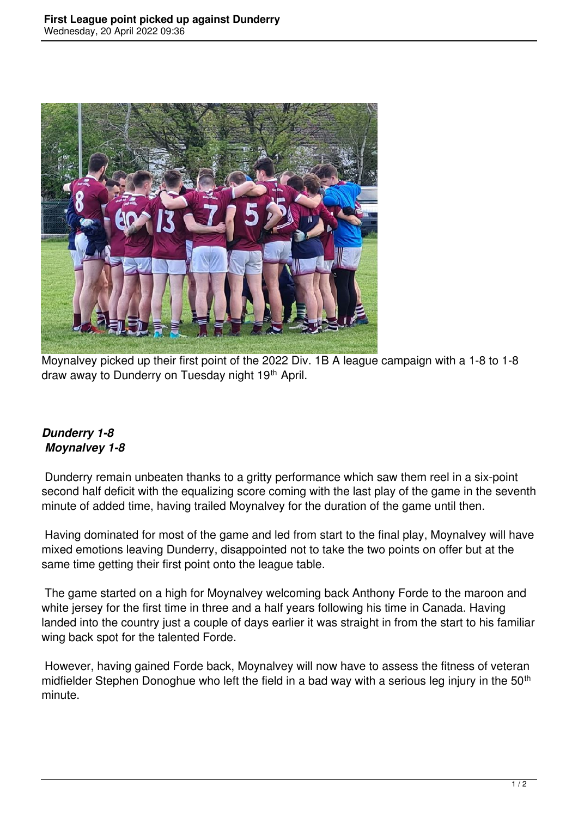

Moynalvey picked up their first point of the 2022 Div. 1B A league campaign with a 1-8 to 1-8 draw away to Dunderry on Tuesday night 19th April.

## *Dunderry 1-8 Moynalvey 1-8*

 Dunderry remain unbeaten thanks to a gritty performance which saw them reel in a six-point second half deficit with the equalizing score coming with the last play of the game in the seventh minute of added time, having trailed Moynalvey for the duration of the game until then.

 Having dominated for most of the game and led from start to the final play, Moynalvey will have mixed emotions leaving Dunderry, disappointed not to take the two points on offer but at the same time getting their first point onto the league table.

 The game started on a high for Moynalvey welcoming back Anthony Forde to the maroon and white jersey for the first time in three and a half years following his time in Canada. Having landed into the country just a couple of days earlier it was straight in from the start to his familiar wing back spot for the talented Forde.

 However, having gained Forde back, Moynalvey will now have to assess the fitness of veteran midfielder Stephen Donoghue who left the field in a bad way with a serious leg injury in the 50<sup>th</sup> minute.